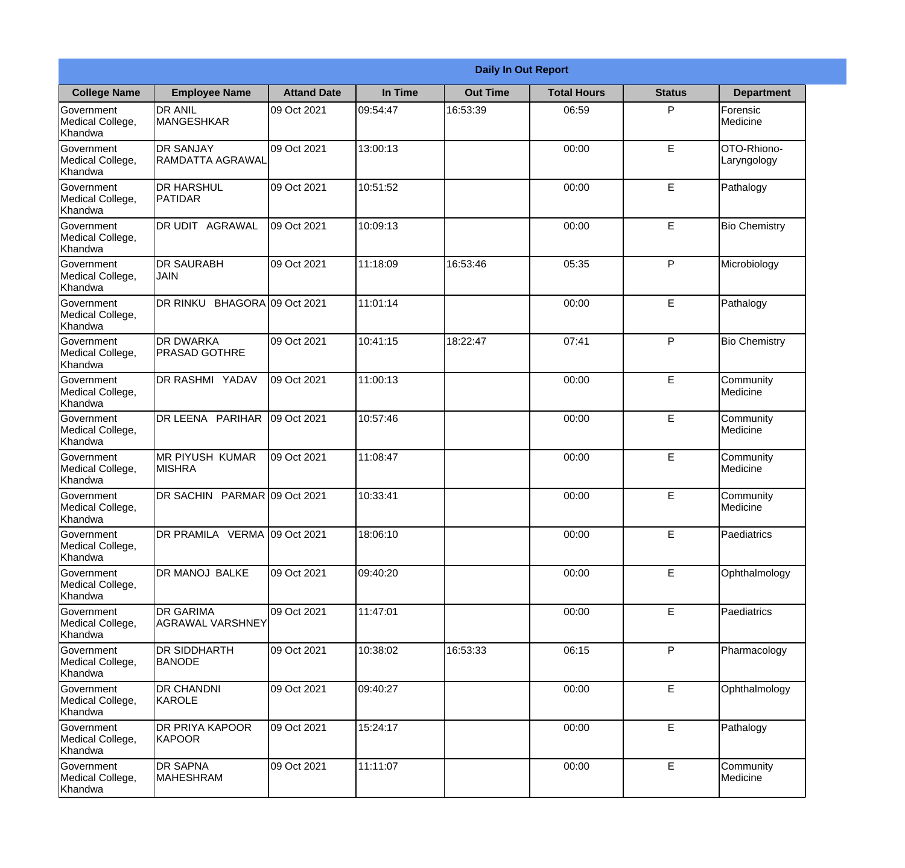|                                                  | <b>Daily In Out Report</b>                  |                    |          |                 |                    |               |                            |  |  |
|--------------------------------------------------|---------------------------------------------|--------------------|----------|-----------------|--------------------|---------------|----------------------------|--|--|
| <b>College Name</b>                              | <b>Employee Name</b>                        | <b>Attand Date</b> | In Time  | <b>Out Time</b> | <b>Total Hours</b> | <b>Status</b> | <b>Department</b>          |  |  |
| Government<br>Medical College,<br>Khandwa        | <b>DR ANIL</b><br><b>MANGESHKAR</b>         | 09 Oct 2021        | 09:54:47 | 16:53:39        | 06:59              | P             | Forensic<br>Medicine       |  |  |
| Government<br>Medical College,<br>Khandwa        | <b>DR SANJAY</b><br>RAMDATTA AGRAWAL        | 09 Oct 2021        | 13:00:13 |                 | 00:00              | E             | OTO-Rhiono-<br>Laryngology |  |  |
| <b>Government</b><br>Medical College,<br>Khandwa | <b>I</b> DR HARSHUL<br>PATIDAR              | 09 Oct 2021        | 10:51:52 |                 | 00:00              | E             | Pathalogy                  |  |  |
| Government<br>Medical College,<br>Khandwa        | DR UDIT AGRAWAL                             | 09 Oct 2021        | 10:09:13 |                 | 00:00              | $\mathsf E$   | <b>Bio Chemistry</b>       |  |  |
| Government<br>Medical College,<br>Khandwa        | <b>DR SAURABH</b><br><b>JAIN</b>            | 09 Oct 2021        | 11:18:09 | 16:53:46        | 05:35              | P             | Microbiology               |  |  |
| Government<br>Medical College,<br>Khandwa        | DR RINKU BHAGORA 09 Oct 2021                |                    | 11:01:14 |                 | 00:00              | E             | Pathalogy                  |  |  |
| Government<br>Medical College,<br>Khandwa        | <b>IDR DWARKA</b><br><b>PRASAD GOTHRE</b>   | 09 Oct 2021        | 10:41:15 | 18:22:47        | 07:41              | P             | <b>Bio Chemistry</b>       |  |  |
| <b>Government</b><br>Medical College,<br>Khandwa | DR RASHMI YADAV                             | 09 Oct 2021        | 11:00:13 |                 | 00:00              | E             | Community<br>Medicine      |  |  |
| Government<br>Medical College,<br>Khandwa        | DR LEENA PARIHAR                            | 09 Oct 2021        | 10:57:46 |                 | 00:00              | E             | Community<br>Medicine      |  |  |
| Government<br>Medical College,<br>Khandwa        | <b>IMR PIYUSH KUMAR</b><br><b>MISHRA</b>    | 09 Oct 2021        | 11:08:47 |                 | 00:00              | E             | Community<br>Medicine      |  |  |
| Government<br>Medical College,<br>Khandwa        | DR SACHIN PARMAR 09 Oct 2021                |                    | 10:33:41 |                 | 00:00              | E             | Community<br>Medicine      |  |  |
| Government<br>Medical College,<br>Khandwa        | DR PRAMILA VERMA 09 Oct 2021                |                    | 18:06:10 |                 | 00:00              | $\mathsf E$   | Paediatrics                |  |  |
| Government<br>Medical College,<br>Khandwa        | DR MANOJ BALKE                              | 09 Oct 2021        | 09:40:20 |                 | 00:00              | E             | Ophthalmology              |  |  |
| Government<br>Medical College,<br>Khandwa        | <b>DR GARIMA</b><br><b>AGRAWAL VARSHNEY</b> | 09 Oct 2021        | 11:47:01 |                 | 00:00              | $\mathsf E$   | Paediatrics                |  |  |
| Government<br>Medical College,<br>Khandwa        | <b>DR SIDDHARTH</b><br><b>BANODE</b>        | 09 Oct 2021        | 10:38:02 | 16:53:33        | 06:15              | P             | Pharmacology               |  |  |
| Government<br>Medical College,<br>Khandwa        | <b>DR CHANDNI</b><br>KAROLE                 | 09 Oct 2021        | 09:40:27 |                 | 00:00              | $\mathsf E$   | Ophthalmology              |  |  |
| Government<br>Medical College,<br>Khandwa        | <b>DR PRIYA KAPOOR</b><br>KAPOOR            | 09 Oct 2021        | 15:24:17 |                 | 00:00              | $\mathsf E$   | Pathalogy                  |  |  |
| Government<br>Medical College,<br>Khandwa        | <b>DR SAPNA</b><br><b>MAHESHRAM</b>         | 09 Oct 2021        | 11:11:07 |                 | 00:00              | $\mathsf E$   | Community<br>Medicine      |  |  |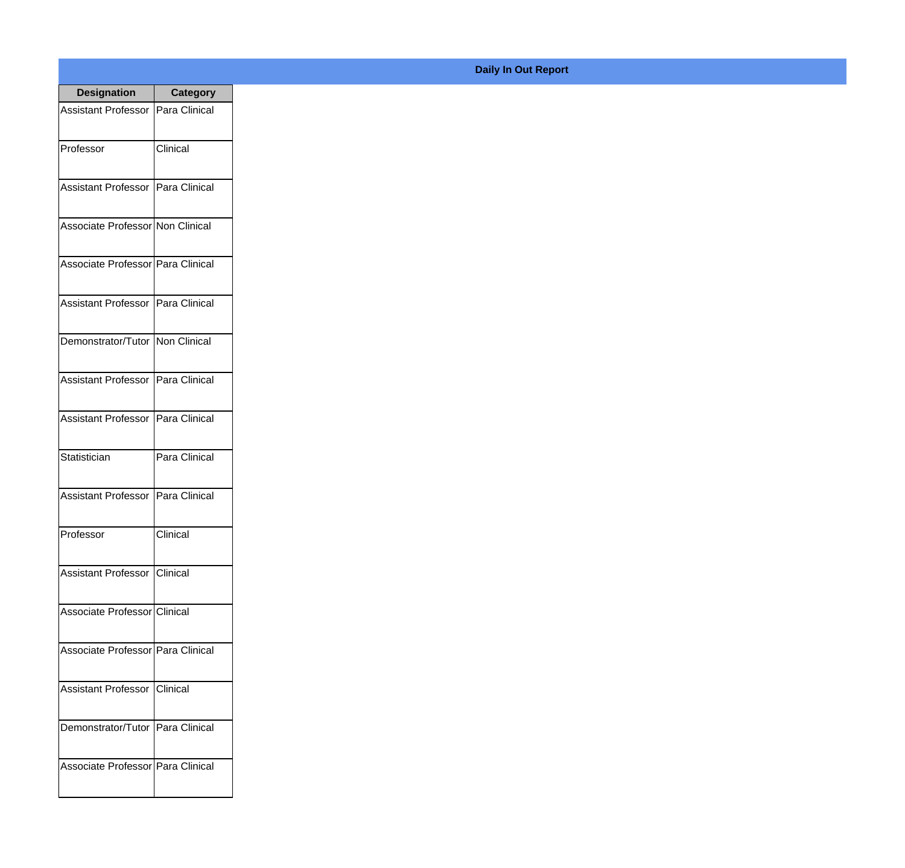| <b>Designation</b>                  | <b>Category</b> |
|-------------------------------------|-----------------|
| Assistant Professor   Para Clinical |                 |
| Professor                           | Clinical        |
| Assistant Professor   Para Clinical |                 |
| Associate Professor Non Clinical    |                 |
| Associate Professor Para Clinical   |                 |
| Assistant Professor   Para Clinical |                 |
| Demonstrator/Tutor   Non Clinical   |                 |
| Assistant Professor   Para Clinical |                 |
| Assistant Professor   Para Clinical |                 |
| Statistician                        | Para Clinical   |
| <b>Assistant Professor</b>          | Para Clinical   |
| Professor                           | Clinical        |
| Assistant Professor   Clinical      |                 |
| Associate Professor Clinical        |                 |
| Associate Professor Para Clinical   |                 |
| <b>Assistant Professor</b>          | Clinical        |
| Demonstrator/Tutor   Para Clinical  |                 |
| Associate Professor   Para Clinical |                 |

## **Daily In Out Report**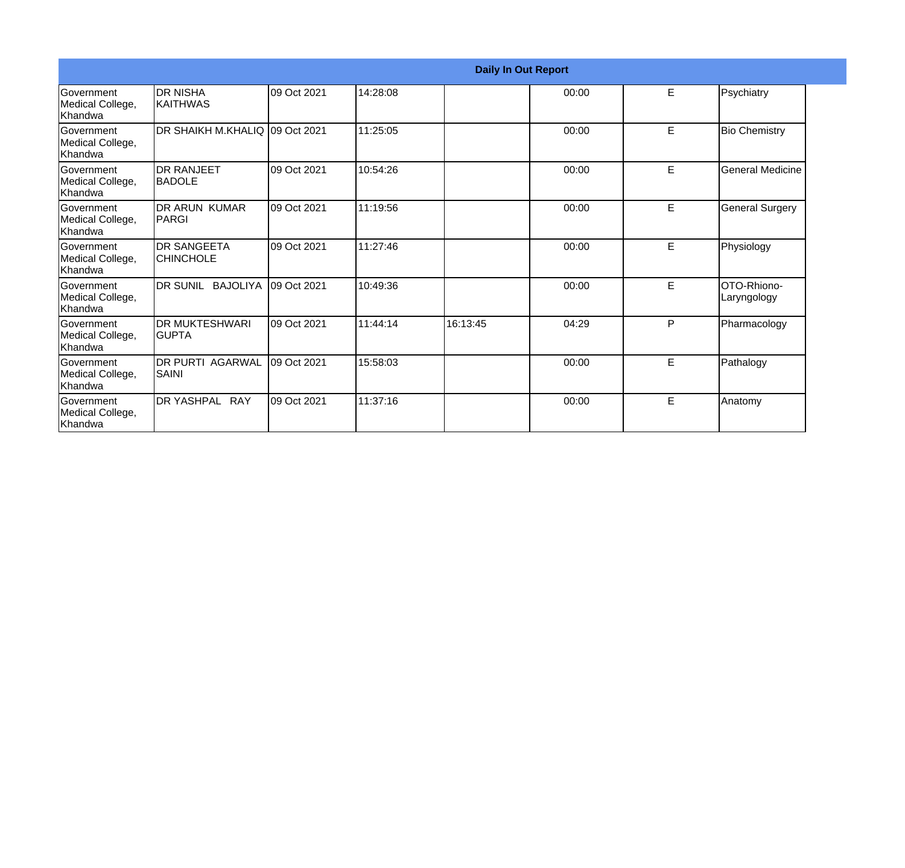|                                                  |                                         |             |          |          | <b>Daily In Out Report</b> |   |                            |
|--------------------------------------------------|-----------------------------------------|-------------|----------|----------|----------------------------|---|----------------------------|
| Government<br>Medical College,<br>Khandwa        | IDR NISHA<br><b>KAITHWAS</b>            | 09 Oct 2021 | 14:28:08 |          | 00:00                      | E | Psychiatry                 |
| <b>Government</b><br>Medical College,<br>Khandwa | IDR SHAIKH M.KHALIQ I09 Oct 2021        |             | 11:25:05 |          | 00:00                      | E | <b>Bio Chemistry</b>       |
| Government<br>Medical College,<br>Khandwa        | <b>IDR RANJEET</b><br><b>IBADOLE</b>    | 09 Oct 2021 | 10:54:26 |          | 00:00                      | E | <b>General Medicine</b>    |
| <b>Government</b><br>Medical College,<br>Khandwa | DR ARUN KUMAR<br><b>PARGI</b>           | 09 Oct 2021 | 11:19:56 |          | 00:00                      | E | <b>General Surgery</b>     |
| Government<br>Medical College,<br><b>Khandwa</b> | <b>IDR SANGEETA</b><br><b>CHINCHOLE</b> | 09 Oct 2021 | 11:27:46 |          | 00:00                      | E | Physiology                 |
| Government<br>Medical College,<br><b>Khandwa</b> | IDR SUNIL BAJOLIYA                      | 09 Oct 2021 | 10:49:36 |          | 00:00                      | E | OTO-Rhiono-<br>Laryngology |
| <b>Government</b><br>Medical College,<br>Khandwa | <b>DR MUKTESHWARI</b><br>IGUPTA         | 09 Oct 2021 | 11:44:14 | 16:13:45 | 04:29                      | P | Pharmacology               |
| Government<br>Medical College,<br>Khandwa        | <b>IDR PURTI AGARWAL</b><br>SAINI       | 09 Oct 2021 | 15:58:03 |          | 00:00                      | E | Pathalogy                  |
| Government<br>Medical College,<br>Khandwa        | DR YASHPAL RAY                          | 09 Oct 2021 | 11:37:16 |          | 00:00                      | E | Anatomy                    |